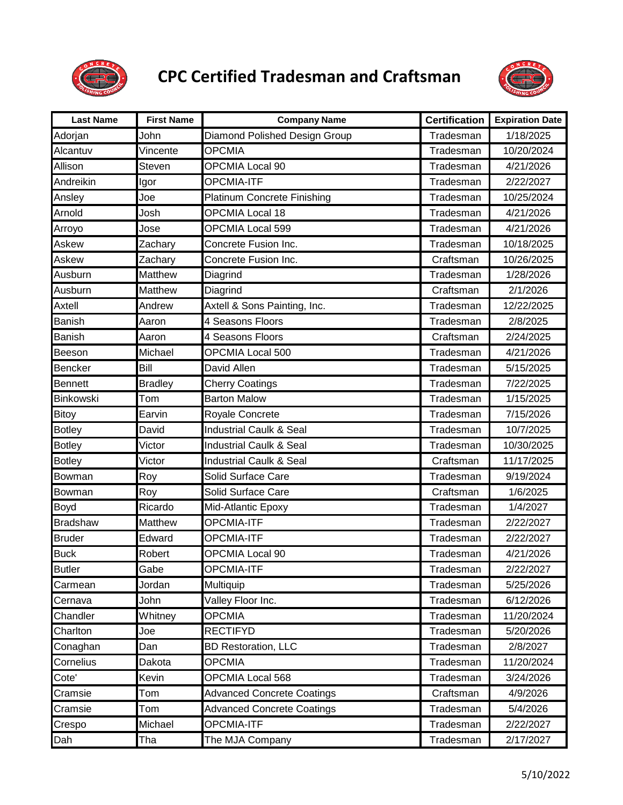

## **CPC Certified Tradesman and Craftsman**



| <b>Last Name</b> | <b>First Name</b> | <b>Company Name</b>                | <b>Certification</b> | <b>Expiration Date</b> |
|------------------|-------------------|------------------------------------|----------------------|------------------------|
| Adorjan          | John              | Diamond Polished Design Group      | Tradesman            | 1/18/2025              |
| Alcantuv         | Vincente          | <b>OPCMIA</b>                      | Tradesman            | 10/20/2024             |
| Allison          | Steven            | OPCMIA Local 90                    | Tradesman            | 4/21/2026              |
| Andreikin        | Igor              | <b>OPCMIA-ITF</b>                  | Tradesman            | 2/22/2027              |
| Ansley           | Joe               | <b>Platinum Concrete Finishing</b> | Tradesman            | 10/25/2024             |
| Arnold           | Josh              | <b>OPCMIA Local 18</b>             | Tradesman            | 4/21/2026              |
| Arroyo           | Jose              | OPCMIA Local 599                   | Tradesman            | 4/21/2026              |
| Askew            | Zachary           | Concrete Fusion Inc.               | Tradesman            | 10/18/2025             |
| Askew            | Zachary           | Concrete Fusion Inc.               | Craftsman            | 10/26/2025             |
| Ausburn          | <b>Matthew</b>    | Diagrind                           | Tradesman            | 1/28/2026              |
| Ausburn          | Matthew           | Diagrind                           | Craftsman            | 2/1/2026               |
| Axtell           | Andrew            | Axtell & Sons Painting, Inc.       | Tradesman            | 12/22/2025             |
| Banish           | Aaron             | 4 Seasons Floors                   | Tradesman            | 2/8/2025               |
| Banish           | Aaron             | 4 Seasons Floors                   | Craftsman            | 2/24/2025              |
| Beeson           | Michael           | OPCMIA Local 500                   | Tradesman            | 4/21/2026              |
| Bencker          | Bill              | David Allen                        | Tradesman            | 5/15/2025              |
| <b>Bennett</b>   | <b>Bradley</b>    | <b>Cherry Coatings</b>             | Tradesman            | 7/22/2025              |
| <b>Binkowski</b> | Tom               | <b>Barton Malow</b>                | Tradesman            | 1/15/2025              |
| Bitoy            | Earvin            | Royale Concrete                    | Tradesman            | 7/15/2026              |
| <b>Botley</b>    | David             | <b>Industrial Caulk &amp; Seal</b> | Tradesman            | 10/7/2025              |
| <b>Botley</b>    | Victor            | Industrial Caulk & Seal            | Tradesman            | 10/30/2025             |
| <b>Botley</b>    | Victor            | <b>Industrial Caulk &amp; Seal</b> | Craftsman            | 11/17/2025             |
| Bowman           | Roy               | Solid Surface Care                 | Tradesman            | 9/19/2024              |
| Bowman           | Roy               | Solid Surface Care                 | Craftsman            | 1/6/2025               |
| <b>Boyd</b>      | Ricardo           | Mid-Atlantic Epoxy                 | Tradesman            | 1/4/2027               |
| <b>Bradshaw</b>  | Matthew           | OPCMIA-ITF                         | Tradesman            | 2/22/2027              |
| <b>Bruder</b>    | Edward            | <b>OPCMIA-ITF</b>                  | Tradesman            | 2/22/2027              |
| <b>Buck</b>      | Robert            | <b>OPCMIA Local 90</b>             | Tradesman            | 4/21/2026              |
| Butler           | Gabe              | OPCMIA-ITF                         | Tradesman            | 2/22/2027              |
| Carmean          | Jordan            | Multiquip                          | Tradesman            | 5/25/2026              |
| Cernava          | John              | Valley Floor Inc.                  | Tradesman            | 6/12/2026              |
| Chandler         | Whitney           | <b>OPCMIA</b>                      | Tradesman            | 11/20/2024             |
| Charlton         | Joe               | <b>RECTIFYD</b>                    | Tradesman            | 5/20/2026              |
| Conaghan         | Dan               | <b>BD Restoration, LLC</b>         | Tradesman            | 2/8/2027               |
| Cornelius        | Dakota            | <b>OPCMIA</b>                      | Tradesman            | 11/20/2024             |
| Cote'            | Kevin             | OPCMIA Local 568                   | Tradesman            | 3/24/2026              |
| Cramsie          | Tom               | <b>Advanced Concrete Coatings</b>  | Craftsman            | 4/9/2026               |
| Cramsie          | Tom               | <b>Advanced Concrete Coatings</b>  | Tradesman            | 5/4/2026               |
| Crespo           | Michael           | OPCMIA-ITF                         | Tradesman            | 2/22/2027              |
| Dah              | Tha               | The MJA Company                    | Tradesman            | 2/17/2027              |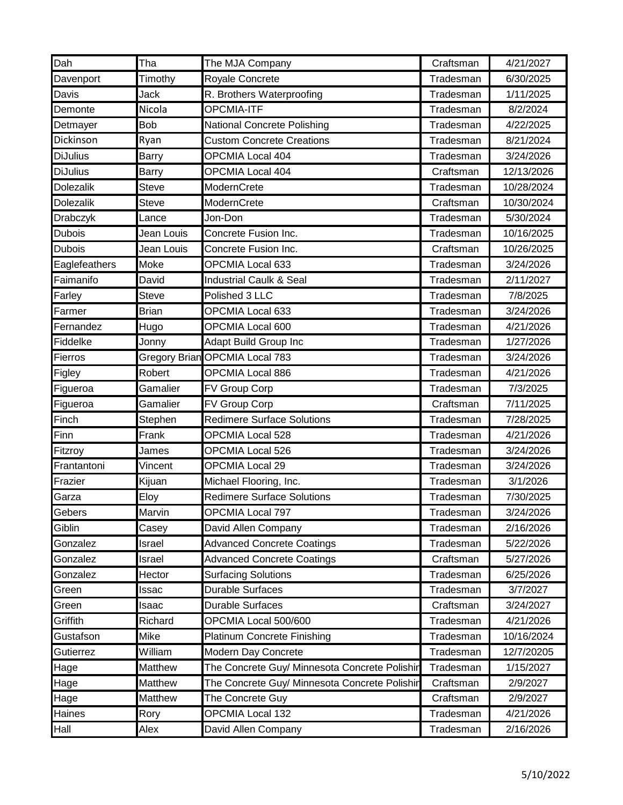| Dah              | Tha          | The MJA Company                               | Craftsman | 4/21/2027  |
|------------------|--------------|-----------------------------------------------|-----------|------------|
| Davenport        | Timothy      | Royale Concrete                               | Tradesman | 6/30/2025  |
| Davis            | Jack         | R. Brothers Waterproofing                     | Tradesman | 1/11/2025  |
| Demonte          | Nicola       | OPCMIA-ITF                                    | Tradesman | 8/2/2024   |
| Detmayer         | <b>Bob</b>   | <b>National Concrete Polishing</b>            | Tradesman | 4/22/2025  |
| Dickinson        | Ryan         | <b>Custom Concrete Creations</b>              | Tradesman | 8/21/2024  |
| <b>DiJulius</b>  | <b>Barry</b> | OPCMIA Local 404                              | Tradesman | 3/24/2026  |
| <b>DiJulius</b>  | <b>Barry</b> | <b>OPCMIA Local 404</b>                       | Craftsman | 12/13/2026 |
| Dolezalik        | <b>Steve</b> | ModernCrete                                   | Tradesman | 10/28/2024 |
| <b>Dolezalik</b> | <b>Steve</b> | ModernCrete                                   | Craftsman | 10/30/2024 |
| Drabczyk         | Lance        | Jon-Don                                       | Tradesman | 5/30/2024  |
| Dubois           | Jean Louis   | Concrete Fusion Inc.                          | Tradesman | 10/16/2025 |
| <b>Dubois</b>    | Jean Louis   | Concrete Fusion Inc.                          | Craftsman | 10/26/2025 |
| Eaglefeathers    | Moke         | <b>OPCMIA Local 633</b>                       | Tradesman | 3/24/2026  |
| Faimanifo        | David        | <b>Industrial Caulk &amp; Seal</b>            | Tradesman | 2/11/2027  |
| Farley           | <b>Steve</b> | Polished 3 LLC                                | Tradesman | 7/8/2025   |
| Farmer           | <b>Brian</b> | OPCMIA Local 633                              | Tradesman | 3/24/2026  |
| Fernandez        | Hugo         | OPCMIA Local 600                              | Tradesman | 4/21/2026  |
| Fiddelke         | Jonny        | Adapt Build Group Inc                         | Tradesman | 1/27/2026  |
| Fierros          |              | Gregory Brian OPCMIA Local 783                | Tradesman | 3/24/2026  |
| Figley           | Robert       | <b>OPCMIA Local 886</b>                       | Tradesman | 4/21/2026  |
| Figueroa         | Gamalier     | FV Group Corp                                 | Tradesman | 7/3/2025   |
| Figueroa         | Gamalier     | FV Group Corp                                 | Craftsman | 7/11/2025  |
| Finch            | Stephen      | <b>Redimere Surface Solutions</b>             | Tradesman | 7/28/2025  |
| Finn             | Frank        | <b>OPCMIA Local 528</b>                       | Tradesman | 4/21/2026  |
| Fitzroy          | James        | <b>OPCMIA Local 526</b>                       | Tradesman | 3/24/2026  |
| Frantantoni      | Vincent      | <b>OPCMIA Local 29</b>                        | Tradesman | 3/24/2026  |
| Frazier          | Kijuan       | Michael Flooring, Inc.                        | Tradesman | 3/1/2026   |
| Garza            | Eloy         | <b>Redimere Surface Solutions</b>             | Tradesman | 7/30/2025  |
| Gebers           | Marvin       | OPCMIA Local 797                              | Tradesman | 3/24/2026  |
| Giblin           | Casey        | David Allen Company                           | Tradesman | 2/16/2026  |
| Gonzalez         | Israel       | <b>Advanced Concrete Coatings</b>             | Tradesman | 5/22/2026  |
| Gonzalez         | Israel       | <b>Advanced Concrete Coatings</b>             | Craftsman | 5/27/2026  |
| Gonzalez         | Hector       | <b>Surfacing Solutions</b>                    | Tradesman | 6/25/2026  |
| Green            | Issac        | <b>Durable Surfaces</b>                       | Tradesman | 3/7/2027   |
| Green            | Isaac        | <b>Durable Surfaces</b>                       | Craftsman | 3/24/2027  |
| Griffith         | Richard      | OPCMIA Local 500/600                          | Tradesman | 4/21/2026  |
| Gustafson        | Mike         | <b>Platinum Concrete Finishing</b>            | Tradesman | 10/16/2024 |
| Gutierrez        | William      | Modern Day Concrete                           | Tradesman | 12/7/20205 |
| Hage             | Matthew      | The Concrete Guy/ Minnesota Concrete Polishin | Tradesman | 1/15/2027  |
| Hage             | Matthew      | The Concrete Guy/ Minnesota Concrete Polishir | Craftsman | 2/9/2027   |
| Hage             | Matthew      | The Concrete Guy                              | Craftsman | 2/9/2027   |
| Haines           | Rory         | OPCMIA Local 132                              | Tradesman | 4/21/2026  |
| Hall             | Alex         | David Allen Company                           | Tradesman | 2/16/2026  |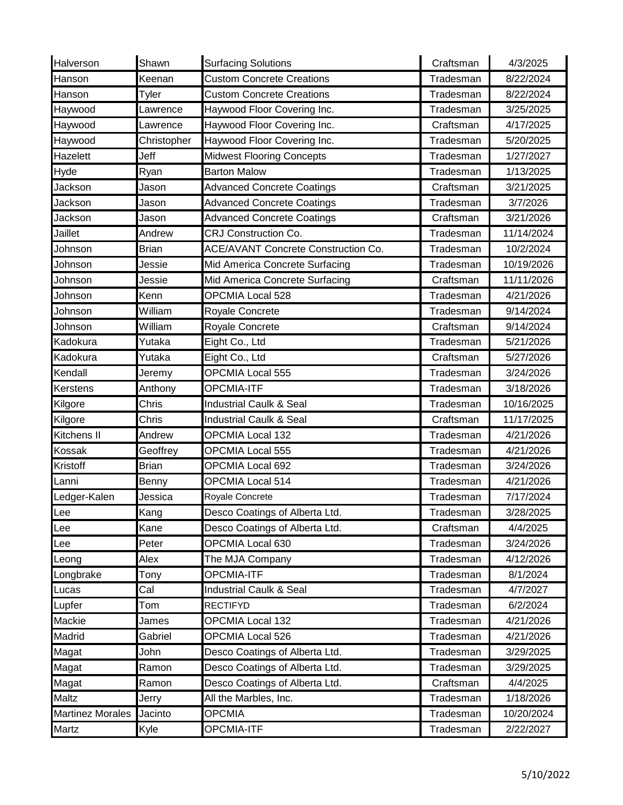| Halverson               | Shawn       | <b>Surfacing Solutions</b>                 | Craftsman | 4/3/2025   |
|-------------------------|-------------|--------------------------------------------|-----------|------------|
| Hanson                  | Keenan      | <b>Custom Concrete Creations</b>           | Tradesman | 8/22/2024  |
| Hanson                  | Tyler       | <b>Custom Concrete Creations</b>           | Tradesman | 8/22/2024  |
| Haywood                 | awrence     | Haywood Floor Covering Inc.                | Tradesman | 3/25/2025  |
| Haywood                 | Lawrence    | Haywood Floor Covering Inc.                | Craftsman | 4/17/2025  |
| Haywood                 | Christopher | Haywood Floor Covering Inc.                | Tradesman | 5/20/2025  |
| <b>Hazelett</b>         | Jeff        | <b>Midwest Flooring Concepts</b>           | Tradesman | 1/27/2027  |
| Hyde                    | Ryan        | <b>Barton Malow</b>                        | Tradesman | 1/13/2025  |
| Jackson                 | Jason       | <b>Advanced Concrete Coatings</b>          | Craftsman | 3/21/2025  |
| Jackson                 | Jason       | <b>Advanced Concrete Coatings</b>          | Tradesman | 3/7/2026   |
| Jackson                 | Jason       | <b>Advanced Concrete Coatings</b>          | Craftsman | 3/21/2026  |
| Jaillet                 | Andrew      | <b>CRJ Construction Co.</b>                | Tradesman | 11/14/2024 |
| Johnson                 | Brian       | <b>ACE/AVANT Concrete Construction Co.</b> | Tradesman | 10/2/2024  |
| Johnson                 | Jessie      | Mid America Concrete Surfacing             | Tradesman | 10/19/2026 |
| Johnson                 | Jessie      | Mid America Concrete Surfacing             | Craftsman | 11/11/2026 |
| Johnson                 | Kenn        | <b>OPCMIA Local 528</b>                    | Tradesman | 4/21/2026  |
| Johnson                 | William     | Royale Concrete                            | Tradesman | 9/14/2024  |
| Johnson                 | William     | Royale Concrete                            | Craftsman | 9/14/2024  |
| Kadokura                | Yutaka      | Eight Co., Ltd                             | Tradesman | 5/21/2026  |
| Kadokura                | Yutaka      | Eight Co., Ltd                             | Craftsman | 5/27/2026  |
| Kendall                 | Jeremy      | OPCMIA Local 555                           | Tradesman | 3/24/2026  |
| <b>Kerstens</b>         | Anthony     | <b>OPCMIA-ITF</b>                          | Tradesman | 3/18/2026  |
| Kilgore                 | Chris       | <b>Industrial Caulk &amp; Seal</b>         | Tradesman | 10/16/2025 |
| Kilgore                 | Chris       | <b>Industrial Caulk &amp; Seal</b>         | Craftsman | 11/17/2025 |
| Kitchens II             | Andrew      | <b>OPCMIA Local 132</b>                    | Tradesman | 4/21/2026  |
| Kossak                  | Geoffrey    | <b>OPCMIA Local 555</b>                    | Tradesman | 4/21/2026  |
| Kristoff                | Brian       | <b>OPCMIA Local 692</b>                    | Tradesman | 3/24/2026  |
| Lanni                   | Benny       | OPCMIA Local 514                           | Tradesman | 4/21/2026  |
| Ledger-Kalen            | Jessica     | Royale Concrete                            | Tradesman | 7/17/2024  |
| Lee                     | Kang        | Desco Coatings of Alberta Ltd.             | Tradesman | 3/28/2025  |
| Lee                     | Kane        | Desco Coatings of Alberta Ltd.             | Craftsman | 4/4/2025   |
| Lee                     | Peter       | OPCMIA Local 630                           | Tradesman | 3/24/2026  |
| Leong                   | Alex        | The MJA Company                            | Tradesman | 4/12/2026  |
| Longbrake               | Tony        | OPCMIA-ITF                                 | Tradesman | 8/1/2024   |
| Lucas                   | Cal         | Industrial Caulk & Seal                    | Tradesman | 4/7/2027   |
| Lupfer                  | Tom         | <b>RECTIFYD</b>                            | Tradesman | 6/2/2024   |
| Mackie                  | James       | OPCMIA Local 132                           | Tradesman | 4/21/2026  |
| Madrid                  | Gabriel     | OPCMIA Local 526                           | Tradesman | 4/21/2026  |
| Magat                   | John        | Desco Coatings of Alberta Ltd.             | Tradesman | 3/29/2025  |
| Magat                   | Ramon       | Desco Coatings of Alberta Ltd.             | Tradesman | 3/29/2025  |
| Magat                   | Ramon       | Desco Coatings of Alberta Ltd.             | Craftsman | 4/4/2025   |
| <b>Maltz</b>            | Jerry       | All the Marbles, Inc.                      | Tradesman | 1/18/2026  |
| <b>Martinez Morales</b> | Jacinto     | <b>OPCMIA</b>                              | Tradesman | 10/20/2024 |
| Martz                   | Kyle        | OPCMIA-ITF                                 | Tradesman | 2/22/2027  |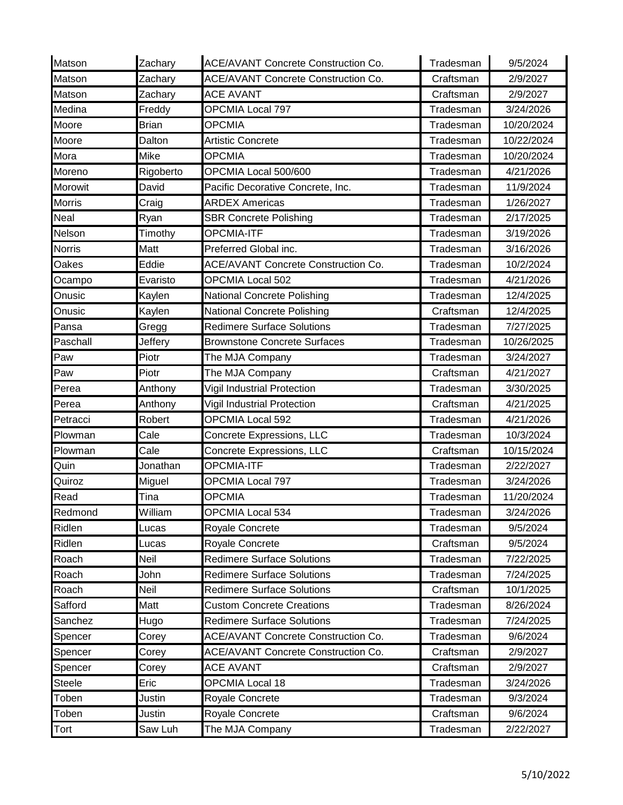| Matson        | Zachary      | <b>ACE/AVANT Concrete Construction Co.</b> | Tradesman | 9/5/2024   |
|---------------|--------------|--------------------------------------------|-----------|------------|
| Matson        | Zachary      | <b>ACE/AVANT Concrete Construction Co.</b> | Craftsman | 2/9/2027   |
| Matson        | Zachary      | <b>ACE AVANT</b>                           | Craftsman | 2/9/2027   |
| Medina        | Freddy       | <b>OPCMIA Local 797</b>                    | Tradesman | 3/24/2026  |
| Moore         | <b>Brian</b> | <b>OPCMIA</b>                              | Tradesman | 10/20/2024 |
| Moore         | Dalton       | <b>Artistic Concrete</b>                   | Tradesman | 10/22/2024 |
| Mora          | Mike         | <b>OPCMIA</b>                              | Tradesman | 10/20/2024 |
| Moreno        | Rigoberto    | OPCMIA Local 500/600                       | Tradesman | 4/21/2026  |
| Morowit       | David        | Pacific Decorative Concrete, Inc.          | Tradesman | 11/9/2024  |
| <b>Morris</b> | Craig        | <b>ARDEX Americas</b>                      | Tradesman | 1/26/2027  |
| <b>Neal</b>   | Ryan         | <b>SBR Concrete Polishing</b>              | Tradesman | 2/17/2025  |
| Nelson        | Timothy      | OPCMIA-ITF                                 | Tradesman | 3/19/2026  |
| <b>Norris</b> | Matt         | Preferred Global inc.                      | Tradesman | 3/16/2026  |
| Oakes         | Eddie        | ACE/AVANT Concrete Construction Co.        | Tradesman | 10/2/2024  |
| Ocampo        | Evaristo     | OPCMIA Local 502                           | Tradesman | 4/21/2026  |
| Onusic        | Kaylen       | National Concrete Polishing                | Tradesman | 12/4/2025  |
| Onusic        | Kaylen       | National Concrete Polishing                | Craftsman | 12/4/2025  |
| Pansa         | Gregg        | <b>Redimere Surface Solutions</b>          | Tradesman | 7/27/2025  |
| Paschall      | Jeffery      | <b>Brownstone Concrete Surfaces</b>        | Tradesman | 10/26/2025 |
| Paw           | Piotr        | The MJA Company                            | Tradesman | 3/24/2027  |
| Paw           | Piotr        | The MJA Company                            | Craftsman | 4/21/2027  |
| Perea         | Anthony      | Vigil Industrial Protection                | Tradesman | 3/30/2025  |
| Perea         | Anthony      | Vigil Industrial Protection                | Craftsman | 4/21/2025  |
| Petracci      | Robert       | OPCMIA Local 592                           | Tradesman | 4/21/2026  |
| Plowman       | Cale         | Concrete Expressions, LLC                  | Tradesman | 10/3/2024  |
| Plowman       | Cale         | Concrete Expressions, LLC                  | Craftsman | 10/15/2024 |
| Quin          | Jonathan     | <b>OPCMIA-ITF</b>                          | Tradesman | 2/22/2027  |
| Quiroz        | Miguel       | <b>OPCMIA Local 797</b>                    | Tradesman | 3/24/2026  |
| Read          | Tina         | <b>OPCMIA</b>                              | Tradesman | 11/20/2024 |
| Redmond       | William      | OPCMIA Local 534                           | Tradesman | 3/24/2026  |
| Ridlen        | Lucas        | Royale Concrete                            | Tradesman | 9/5/2024   |
| Ridlen        | Lucas        | Royale Concrete                            | Craftsman | 9/5/2024   |
| Roach         | Neil         | <b>Redimere Surface Solutions</b>          | Tradesman | 7/22/2025  |
| Roach         | John         | <b>Redimere Surface Solutions</b>          | Tradesman | 7/24/2025  |
| Roach         | Neil         | <b>Redimere Surface Solutions</b>          | Craftsman | 10/1/2025  |
| Safford       | Matt         | <b>Custom Concrete Creations</b>           | Tradesman | 8/26/2024  |
| Sanchez       | Hugo         | <b>Redimere Surface Solutions</b>          | Tradesman | 7/24/2025  |
| Spencer       | Corey        | ACE/AVANT Concrete Construction Co.        | Tradesman | 9/6/2024   |
| Spencer       | Corey        | ACE/AVANT Concrete Construction Co.        | Craftsman | 2/9/2027   |
| Spencer       | Corey        | <b>ACE AVANT</b>                           | Craftsman | 2/9/2027   |
| <b>Steele</b> | Eric         | <b>OPCMIA Local 18</b>                     | Tradesman | 3/24/2026  |
| Toben         | Justin       | Royale Concrete                            | Tradesman | 9/3/2024   |
| Toben         | Justin       | Royale Concrete                            | Craftsman | 9/6/2024   |
| Tort          | Saw Luh      | The MJA Company                            | Tradesman | 2/22/2027  |